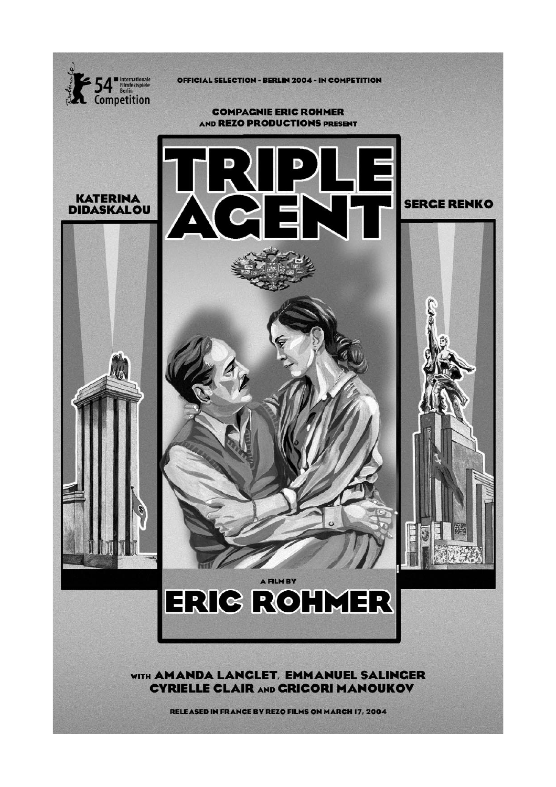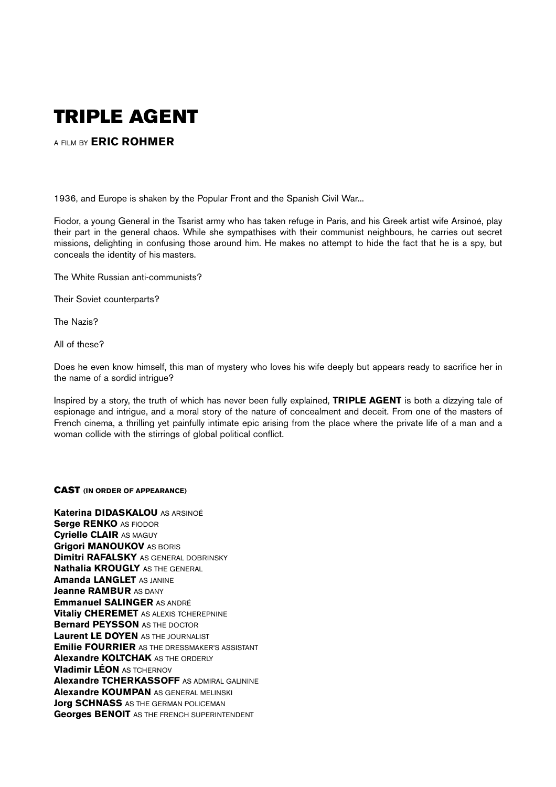# **TRIPLE AGENT**

A FILM BY **ERIC ROHMER**

1936, and Europe is shaken by the Popular Front and the Spanish Civil War...

Fiodor, a young General in the Tsarist army who has taken refuge in Paris, and his Greek artist wife Arsinoé, play their part in the general chaos. While she sympathises with their communist neighbours, he carries out secret missions, delighting in confusing those around him. He makes no attempt to hide the fact that he is a spy, but conceals the identity of his masters.

The White Russian anti-communists?

Their Soviet counterparts?

The Nazis?

All of these?

Does he even know himself, this man of mystery who loves his wife deeply but appears ready to sacrifice her in the name of a sordid intrigue?

Inspired by a story, the truth of which has never been fully explained, **TRIPLE AGENT** is both a dizzying tale of espionage and intrigue, and a moral story of the nature of concealment and deceit. From one of the masters of French cinema, a thrilling yet painfully intimate epic arising from the place where the private life of a man and a woman collide with the stirrings of global political conflict.

## **CAST (IN ORDER OF APPEARANCE)**

**Katerina DIDASKALOU** AS ARSINOÉ **Serge RENKO** AS FIODOR **Cyrielle CLAIR** AS MAGUY **Grigori MANOUKOV** AS BORIS **Dimitri RAFALSKY** AS GENERAL DOBRINSKY **Nathalia KROUGLY** AS THE GENERAL **Amanda LANGLET** AS JANINE **Jeanne RAMBUR AS DANY Emmanuel SALINGER** AS ANDRÉ **Vitaliy CHEREMET** AS ALEXIS TCHEREPNINE **Bernard PEYSSON** AS THE DOCTOR **Laurent LE DOYEN** AS THE JOURNALIST **Emilie FOURRIER** AS THE DRESSMAKER'S ASSISTANT **Alexandre KOLTCHAK** AS THE ORDERLY **Vladimir LÉON** AS TCHERNOV **Alexandre TCHERKASSOFF** AS ADMIRAL GALININE **Alexandre KOUMPAN** AS GENERAL MELINSKI **Jorg SCHNASS** AS THE GERMAN POLICEMAN **Georges BENOIT** AS THE FRENCH SUPERINTENDENT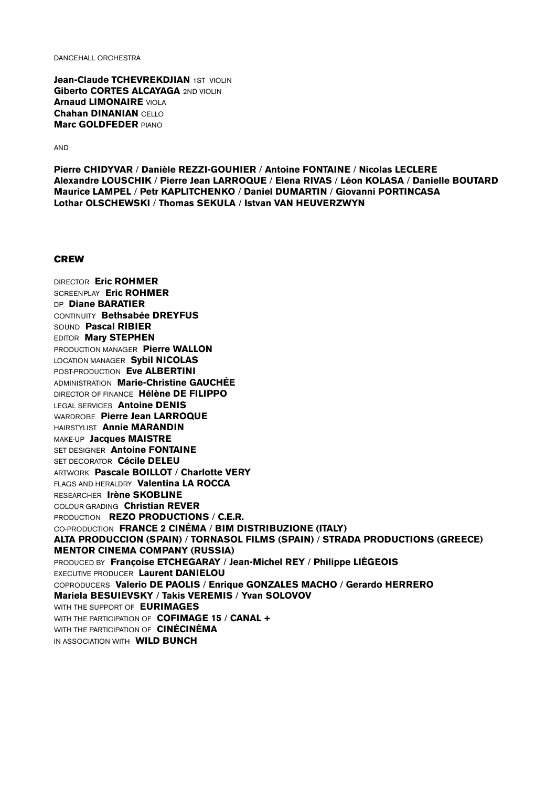DANCEHALL ORCHESTRA

**Jean-Claude TCHEVREKDJIAN** 1ST VIOLIN **Giberto CORTES ALCAYAGA** 2ND VIOLIN **Arnaud LIMONAIRE** VIOLA **Chahan DINANIAN** CELLO **Marc GOLDFEDER** PIANO

AND

**Pierre CHIDYVAR** / **Danièle REZZI-GOUHIER** / **Antoine FONTAINE** / **Nicolas LECLERE Alexandre LOUSCHIK** / **Pierre Jean LARROQUE** / **Elena RIVAS** / **Léon KOLASA** / **Danielle BOUTARD Maurice LAMPEL** / **Petr KAPLITCHENKO** / **Daniel DUMARTIN** / **Giovanni PORTINCASA Lothar OLSCHEWSKI** / **Thomas SEKULA** / **Istvan VAN HEUVERZWYN**

#### **CREW**

DIRECTOR **Eric ROHMER** SCREENPLAY **Eric ROHMER** DP **Diane BARATIER** CONTINUITY **Bethsabée DREYFUS** SOUND **Pascal RIBIER** EDITOR **Mary STEPHEN** PRODUCTION MANAGER **Pierre WALLON** LOCATION MANAGER **Sybil NICOLAS** POST-PRODUCTION **Eve ALBERTINI** ADMINISTRATION **Marie-Christine GAUCHÉE** DIRECTOR OF FINANCE **Hélène DE FILIPPO** LEGAL SERVICES **Antoine DENIS** WARDROBE **Pierre Jean LARROQUE** HAIRSTYLIST **Annie MARANDIN** MAKE-UP **Jacques MAISTRE** SET DESIGNER **Antoine FONTAINE** SET DECORATOR **Cécile DELEU** ARTWORK **Pascale BOILLOT** / **Charlotte VERY** FLAGS AND HERALDRY **Valentina LA ROCCA** RESEARCHER **Irène SKOBLINE** COLOUR GRADING **Christian REVER** PRODUCTION **REZO PRODUCTIONS** / **C.E.R.** CO-PRODUCTION **FRANCE 2 CINÉMA** / **BIM DISTRIBUZIONE (ITALY) ALTA PRODUCCION (SPAIN)** / **TORNASOL FILMS (SPAIN)** / **STRADA PRODUCTIONS (GREECE) MENTOR CINEMA COMPANY (RUSSIA)** PRODUCED BY **Françoise ETCHEGARAY** / **Jean-Michel REY** / **Philippe LIÉGEOIS** EXECUTIVE PRODUCER **Laurent DANIELOU** COPRODUCERS **Valerio DE PAOLIS** / **Enrique GONZALES MACHO** / **Gerardo HERRERO Mariela BESUIEVSKY** / **Takis VEREMIS** / **Yvan SOLOVOV** WITH THE SUPPORT OF **EURIMAGES** WITH THE PARTICIPATION OF **COFIMAGE 15** / **CANAL +** WITH THE PARTICIPATION OF **CINÉCINÉMA** IN ASSOCIATION WITH **WILD BUNCH**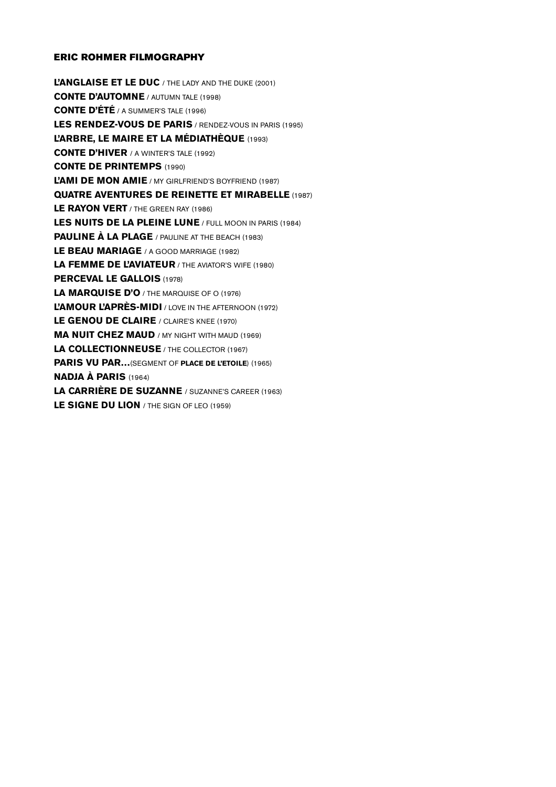# **ERIC ROHMER FILMOGRAPHY**

**L'ANGLAISE ET LE DUC** / THE LADY AND THE DUKE (2001) **CONTE D'AUTOMNE** / AUTUMN TALE (1998) **CONTE D'ÉTÉ** / A SUMMER'S TALE (1996) **LES RENDEZ-VOUS DE PARIS** / RENDEZ-VOUS IN PARIS (1995) **L'ARBRE, LE MAIRE ET LA MÉDIATHÈQUE** (1993) **CONTE D'HIVER** / A WINTER'S TALE (1992) **CONTE DE PRINTEMPS** (1990) **L'AMI DE MON AMIE** / MY GIRLFRIEND'S BOYFRIEND (1987) **QUATRE AVENTURES DE REINETTE ET MIRABELLE** (1987) **LE RAYON VERT** / THE GREEN RAY (1986) **LES NUITS DE LA PLEINE LUNE** / FULL MOON IN PARIS (1984) **PAULINE À LA PLAGE** / PAULINE AT THE BEACH (1983) **LE BEAU MARIAGE** / A GOOD MARRIAGE (1982) **LA FEMME DE L'AVIATEUR** / THE AVIATOR'S WIFE (1980) **PERCEVAL LE GALLOIS** (1978) **LA MARQUISE D'O** / THE MARQUISE OF O (1976) **L'AMOUR L'APRÈS-MIDI** / LOVE IN THE AFTERNOON (1972) LE GENOU DE CLAIRE / CLAIRE'S KNEE (1970) **MA NUIT CHEZ MAUD** / MY NIGHT WITH MAUD (1969) **LA COLLECTIONNEUSE** / THE COLLECTOR (1967) **PARIS VU PAR…**(SEGMENT OF **PLACE DE L'ETOILE**) (1965) **NADJA À PARIS** (1964) **LA CARRIÈRE DE SUZANNE** / SUZANNE'S CAREER (1963) **LE SIGNE DU LION** / THE SIGN OF LEO (1959)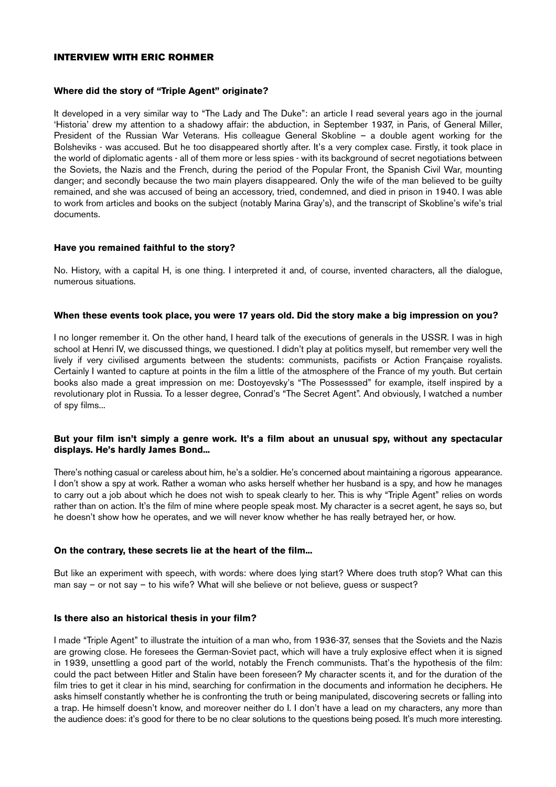## **INTERVIEW WITH ERIC ROHMER**

## **Where did the story of "Triple Agent" originate?**

It developed in a very similar way to "The Lady and The Duke": an article I read several years ago in the journal 'Historia' drew my attention to a shadowy affair: the abduction, in September 1937, in Paris, of General Miller, President of the Russian War Veterans. His colleague General Skobline – a double agent working for the Bolsheviks - was accused. But he too disappeared shortly after. It's a very complex case. Firstly, it took place in the world of diplomatic agents - all of them more or less spies - with its background of secret negotiations between the Soviets, the Nazis and the French, during the period of the Popular Front, the Spanish Civil War, mounting danger; and secondly because the two main players disappeared. Only the wife of the man believed to be guilty remained, and she was accused of being an accessory, tried, condemned, and died in prison in 1940. I was able to work from articles and books on the subject (notably Marina Gray's), and the transcript of Skobline's wife's trial documents.

#### **Have you remained faithful to the story?**

No. History, with a capital H, is one thing. I interpreted it and, of course, invented characters, all the dialogue, numerous situations.

#### **When these events took place, you were 17 years old. Did the story make a big impression on you?**

I no longer remember it. On the other hand, I heard talk of the executions of generals in the USSR. I was in high school at Henri IV, we discussed things, we questioned. I didn't play at politics myself, but remember very well the lively if very civilised arguments between the students: communists, pacifists or Action Française royalists. Certainly I wanted to capture at points in the film a little of the atmosphere of the France of my youth. But certain books also made a great impression on me: Dostoyevsky's "The Possesssed" for example, itself inspired by a revolutionary plot in Russia. To a lesser degree, Conrad's "The Secret Agent". And obviously, I watched a number of spy films...

## **But your film isn't simply a genre work. It's a film about an unusual spy, without any spectacular displays. He's hardly James Bond...**

There's nothing casual or careless about him, he's a soldier. He's concerned about maintaining a rigorous appearance. I don't show a spy at work. Rather a woman who asks herself whether her husband is a spy, and how he manages to carry out a job about which he does not wish to speak clearly to her. This is why "Triple Agent" relies on words rather than on action. It's the film of mine where people speak most. My character is a secret agent, he says so, but he doesn't show how he operates, and we will never know whether he has really betrayed her, or how.

## **On the contrary, these secrets lie at the heart of the film...**

But like an experiment with speech, with words: where does lying start? Where does truth stop? What can this man say – or not say – to his wife? What will she believe or not believe, guess or suspect?

## **Is there also an historical thesis in your film?**

I made "Triple Agent" to illustrate the intuition of a man who, from 1936-37, senses that the Soviets and the Nazis are growing close. He foresees the German-Soviet pact, which will have a truly explosive effect when it is signed in 1939, unsettling a good part of the world, notably the French communists. That's the hypothesis of the film: could the pact between Hitler and Stalin have been foreseen? My character scents it, and for the duration of the film tries to get it clear in his mind, searching for confirmation in the documents and information he deciphers. He asks himself constantly whether he is confronting the truth or being manipulated, discovering secrets or falling into a trap. He himself doesn't know, and moreover neither do I. I don't have a lead on my characters, any more than the audience does: it's good for there to be no clear solutions to the questions being posed. It's much more interesting.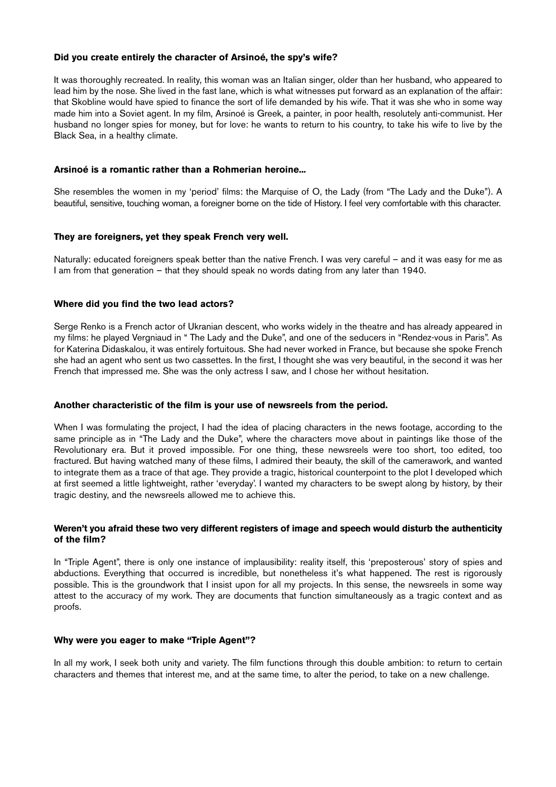## **Did you create entirely the character of Arsinoé, the spy's wife?**

It was thoroughly recreated. In reality, this woman was an Italian singer, older than her husband, who appeared to lead him by the nose. She lived in the fast lane, which is what witnesses put forward as an explanation of the affair: that Skobline would have spied to finance the sort of life demanded by his wife. That it was she who in some way made him into a Soviet agent. In my film, Arsinoé is Greek, a painter, in poor health, resolutely anti-communist. Her husband no longer spies for money, but for love: he wants to return to his country, to take his wife to live by the Black Sea, in a healthy climate.

## **Arsinoé is a romantic rather than a Rohmerian heroine...**

She resembles the women in my 'period' films: the Marquise of O, the Lady (from "The Lady and the Duke"). A beautiful, sensitive, touching woman, a foreigner borne on the tide of History. I feel very comfortable with this character.

#### **They are foreigners, yet they speak French very well.**

Naturally: educated foreigners speak better than the native French. I was very careful – and it was easy for me as I am from that generation – that they should speak no words dating from any later than 1940.

#### **Where did you find the two lead actors?**

Serge Renko is a French actor of Ukranian descent, who works widely in the theatre and has already appeared in my films: he played Vergniaud in " The Lady and the Duke", and one of the seducers in "Rendez-vous in Paris". As for Katerina Didaskalou, it was entirely fortuitous. She had never worked in France, but because she spoke French she had an agent who sent us two cassettes. In the first, I thought she was very beautiful, in the second it was her French that impressed me. She was the only actress I saw, and I chose her without hesitation.

#### **Another characteristic of the film is your use of newsreels from the period.**

When I was formulating the project, I had the idea of placing characters in the news footage, according to the same principle as in "The Lady and the Duke", where the characters move about in paintings like those of the Revolutionary era. But it proved impossible. For one thing, these newsreels were too short, too edited, too fractured. But having watched many of these films, I admired their beauty, the skill of the camerawork, and wanted to integrate them as a trace of that age. They provide a tragic, historical counterpoint to the plot I developed which at first seemed a little lightweight, rather 'everyday'. I wanted my characters to be swept along by history, by their tragic destiny, and the newsreels allowed me to achieve this.

## **Weren't you afraid these two very different registers of image and speech would disturb the authenticity of the film?**

In "Triple Agent", there is only one instance of implausibility: reality itself, this 'preposterous' story of spies and abductions. Everything that occurred is incredible, but nonetheless it's what happened. The rest is rigorously possible. This is the groundwork that I insist upon for all my projects. In this sense, the newsreels in some way attest to the accuracy of my work. They are documents that function simultaneously as a tragic context and as proofs.

#### **Why were you eager to make "Triple Agent"?**

In all my work, I seek both unity and variety. The film functions through this double ambition: to return to certain characters and themes that interest me, and at the same time, to alter the period, to take on a new challenge.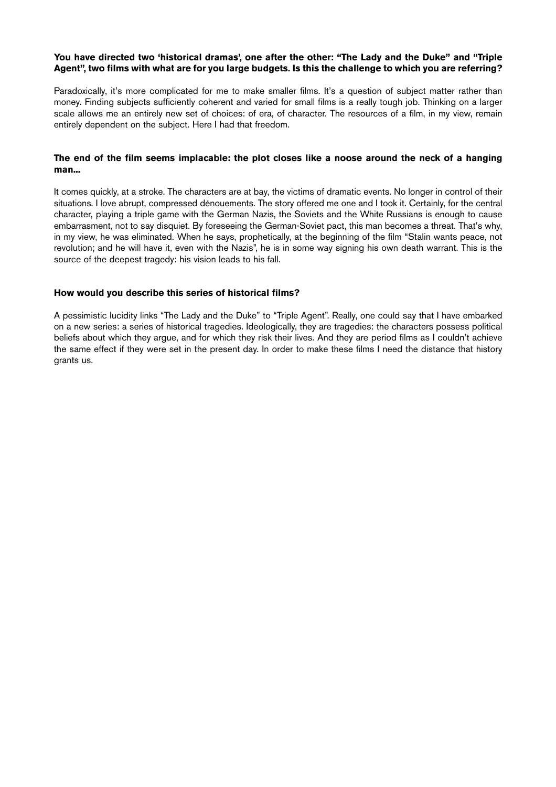## **You have directed two 'historical dramas', one after the other: "The Lady and the Duke" and "Triple Agent", two films with what are for you large budgets. Is this the challenge to which you are referring?**

Paradoxically, it's more complicated for me to make smaller films. It's a question of subject matter rather than money. Finding subjects sufficiently coherent and varied for small films is a really tough job. Thinking on a larger scale allows me an entirely new set of choices: of era, of character. The resources of a film, in my view, remain entirely dependent on the subject. Here I had that freedom.

## **The end of the film seems implacable: the plot closes like a noose around the neck of a hanging man...**

It comes quickly, at a stroke. The characters are at bay, the victims of dramatic events. No longer in control of their situations. I love abrupt, compressed dénouements. The story offered me one and I took it. Certainly, for the central character, playing a triple game with the German Nazis, the Soviets and the White Russians is enough to cause embarrasment, not to say disquiet. By foreseeing the German-Soviet pact, this man becomes a threat. That's why, in my view, he was eliminated. When he says, prophetically, at the beginning of the film "Stalin wants peace, not revolution; and he will have it, even with the Nazis", he is in some way signing his own death warrant. This is the source of the deepest tragedy: his vision leads to his fall.

## **How would you describe this series of historical films?**

A pessimistic lucidity links "The Lady and the Duke" to "Triple Agent". Really, one could say that I have embarked on a new series: a series of historical tragedies. Ideologically, they are tragedies: the characters possess political beliefs about which they argue, and for which they risk their lives. And they are period films as I couldn't achieve the same effect if they were set in the present day. In order to make these films I need the distance that history grants us.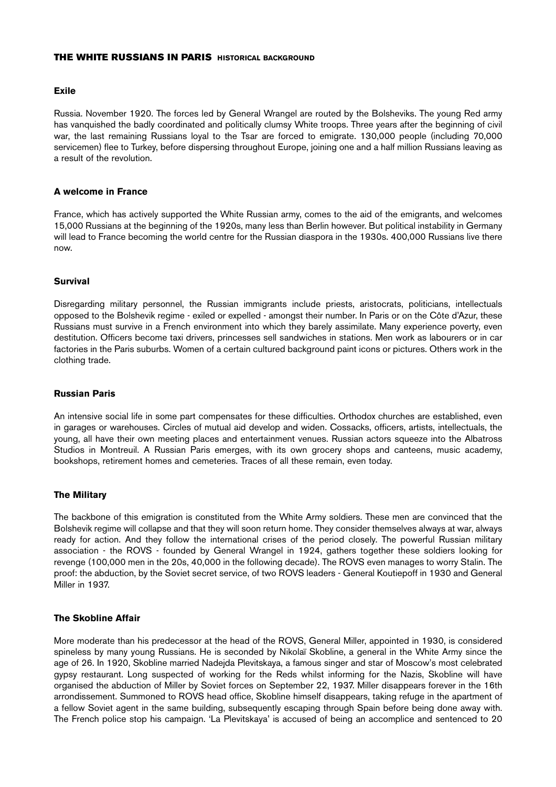#### **THE WHITE RUSSIANS IN PARIS HISTORICAL BACKGROUND**

#### **Exile**

Russia. November 1920. The forces led by General Wrangel are routed by the Bolsheviks. The young Red army has vanquished the badly coordinated and politically clumsy White troops. Three years after the beginning of civil war, the last remaining Russians loyal to the Tsar are forced to emigrate. 130,000 people (including 70,000 servicemen) flee to Turkey, before dispersing throughout Europe, joining one and a half million Russians leaving as a result of the revolution.

#### **A welcome in France**

France, which has actively supported the White Russian army, comes to the aid of the emigrants, and welcomes 15,000 Russians at the beginning of the 1920s, many less than Berlin however. But political instability in Germany will lead to France becoming the world centre for the Russian diaspora in the 1930s. 400,000 Russians live there now.

#### **Survival**

Disregarding military personnel, the Russian immigrants include priests, aristocrats, politicians, intellectuals opposed to the Bolshevik regime - exiled or expelled - amongst their number. In Paris or on the Côte d'Azur, these Russians must survive in a French environment into which they barely assimilate. Many experience poverty, even destitution. Officers become taxi drivers, princesses sell sandwiches in stations. Men work as labourers or in car factories in the Paris suburbs. Women of a certain cultured background paint icons or pictures. Others work in the clothing trade.

## **Russian Paris**

An intensive social life in some part compensates for these difficulties. Orthodox churches are established, even in garages or warehouses. Circles of mutual aid develop and widen. Cossacks, officers, artists, intellectuals, the young, all have their own meeting places and entertainment venues. Russian actors squeeze into the Albatross Studios in Montreuil. A Russian Paris emerges, with its own grocery shops and canteens, music academy, bookshops, retirement homes and cemeteries. Traces of all these remain, even today.

## **The Military**

The backbone of this emigration is constituted from the White Army soldiers. These men are convinced that the Bolshevik regime will collapse and that they will soon return home. They consider themselves always at war, always ready for action. And they follow the international crises of the period closely. The powerful Russian military association - the ROVS - founded by General Wrangel in 1924, gathers together these soldiers looking for revenge (100,000 men in the 20s, 40,000 in the following decade). The ROVS even manages to worry Stalin. The proof: the abduction, by the Soviet secret service, of two ROVS leaders - General Koutiepoff in 1930 and General Miller in 1937.

## **The Skobline Affair**

More moderate than his predecessor at the head of the ROVS, General Miller, appointed in 1930, is considered spineless by many young Russians. He is seconded by Nikolaï Skobline, a general in the White Army since the age of 26. In 1920, Skobline married Nadejda Plevitskaya, a famous singer and star of Moscow's most celebrated gypsy restaurant. Long suspected of working for the Reds whilst informing for the Nazis, Skobline will have organised the abduction of Miller by Soviet forces on September 22, 1937. Miller disappears forever in the 16th arrondissement. Summoned to ROVS head office, Skobline himself disappears, taking refuge in the apartment of a fellow Soviet agent in the same building, subsequently escaping through Spain before being done away with. The French police stop his campaign. 'La Plevitskaya' is accused of being an accomplice and sentenced to 20